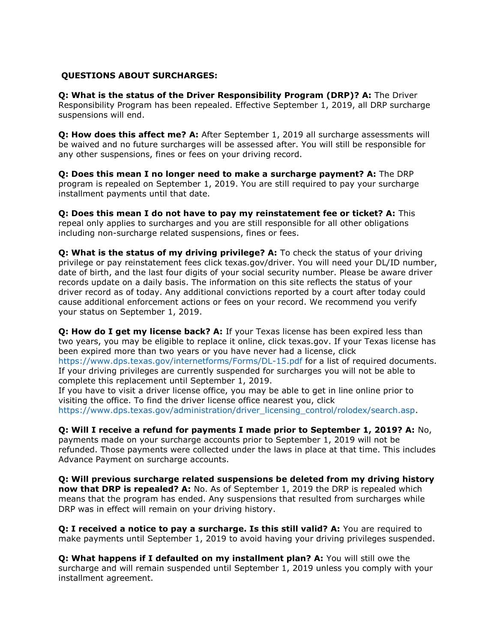# **QUESTIONS ABOUT SURCHARGES:**

**Q: What is the status of the Driver Responsibility Program (DRP)? A:** The Driver Responsibility Program has been repealed. Effective September 1, 2019, all DRP surcharge suspensions will end.

**Q: How does this affect me? A:** After September 1, 2019 all surcharge assessments will be waived and no future surcharges will be assessed after. You will still be responsible for any other suspensions, fines or fees on your driving record.

**Q: Does this mean I no longer need to make a surcharge payment? A:** The DRP program is repealed on September 1, 2019. You are still required to pay your surcharge installment payments until that date.

**Q: Does this mean I do not have to pay my reinstatement fee or ticket? A:** This repeal only applies to surcharges and you are still responsible for all other obligations including non-surcharge related suspensions, fines or fees.

**Q: What is the status of my driving privilege? A:** To check the status of your driving privilege or pay reinstatement fees click texas.gov/driver. You will need your DL/ID number, date of birth, and the last four digits of your social security number. Please be aware driver records update on a daily basis. The information on this site reflects the status of your driver record as of today. Any additional convictions reported by a court after today could cause additional enforcement actions or fees on your record. We recommend you verify your status on September 1, 2019.

**Q: How do I get my license back? A:** If your Texas license has been expired less than two years, you may be eligible to replace it online, click texas.gov. If your Texas license has been expired more than two years or you have never had a license, click https://www.dps.texas.gov/internetforms/Forms/DL-15.pdf for a list of required documents. If your driving privileges are currently suspended for surcharges you will not be able to complete this replacement until September 1, 2019.

If you have to visit a driver license office, you may be able to get in line online prior to visiting the office. To find the driver license office nearest you, click https://www.dps.texas.gov/administration/driver\_licensing\_control/rolodex/search.asp.

**Q: Will I receive a refund for payments I made prior to September 1, 2019? A:** No, payments made on your surcharge accounts prior to September 1, 2019 will not be refunded. Those payments were collected under the laws in place at that time. This includes Advance Payment on surcharge accounts.

**Q: Will previous surcharge related suspensions be deleted from my driving history now that DRP is repealed? A:** No. As of September 1, 2019 the DRP is repealed which means that the program has ended. Any suspensions that resulted from surcharges while DRP was in effect will remain on your driving history.

**Q: I received a notice to pay a surcharge. Is this still valid? A:** You are required to make payments until September 1, 2019 to avoid having your driving privileges suspended.

**Q: What happens if I defaulted on my installment plan? A:** You will still owe the surcharge and will remain suspended until September 1, 2019 unless you comply with your installment agreement.